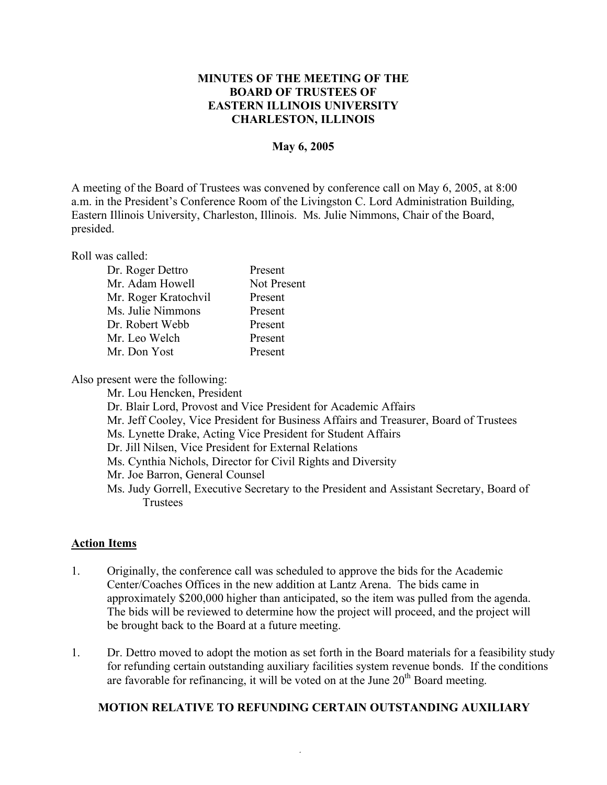## **MINUTES OF THE MEETING OF THE BOARD OF TRUSTEES OF EASTERN ILLINOIS UNIVERSITY CHARLESTON, ILLINOIS**

### **May 6, 2005**

A meeting of the Board of Trustees was convened by conference call on May 6, 2005, at 8:00 a.m. in the President's Conference Room of the Livingston C. Lord Administration Building, Eastern Illinois University, Charleston, Illinois. Ms. Julie Nimmons, Chair of the Board, presided.

Roll was called:

| Dr. Roger Dettro     | Present     |
|----------------------|-------------|
| Mr. Adam Howell      | Not Present |
| Mr. Roger Kratochvil | Present     |
| Ms. Julie Nimmons    | Present     |
| Dr. Robert Webb      | Present     |
| Mr. Leo Welch        | Present     |
| Mr. Don Yost         | Present     |

Also present were the following:

Mr. Lou Hencken, President

- Dr. Blair Lord, Provost and Vice President for Academic Affairs
- Mr. Jeff Cooley, Vice President for Business Affairs and Treasurer, Board of Trustees
- Ms. Lynette Drake, Acting Vice President for Student Affairs
- Dr. Jill Nilsen, Vice President for External Relations
- Ms. Cynthia Nichols, Director for Civil Rights and Diversity
- Mr. Joe Barron, General Counsel
- Ms. Judy Gorrell, Executive Secretary to the President and Assistant Secretary, Board of Trustees

### **Action Items**

- 1. Originally, the conference call was scheduled to approve the bids for the Academic Center/Coaches Offices in the new addition at Lantz Arena. The bids came in approximately \$200,000 higher than anticipated, so the item was pulled from the agenda. The bids will be reviewed to determine how the project will proceed, and the project will be brought back to the Board at a future meeting.
- 1. Dr. Dettro moved to adopt the motion as set forth in the Board materials for a feasibility study for refunding certain outstanding auxiliary facilities system revenue bonds. If the conditions are favorable for refinancing, it will be voted on at the June  $20<sup>th</sup>$  Board meeting.

# **MOTION RELATIVE TO REFUNDING CERTAIN OUTSTANDING AUXILIARY**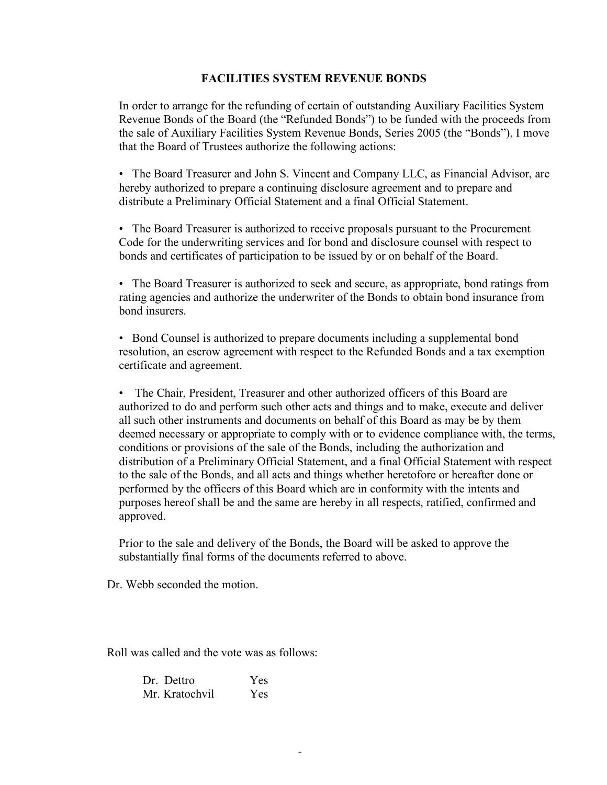## **FACILITIES SYSTEM REVENUE BONDS**

In order to arrange for the refunding of certain of outstanding Auxiliary Facilities System Revenue Bonds of the Board (the "Refunded Bonds") to be funded with the proceeds from the sale of Auxiliary Facilities System Revenue Bonds, Series 2005 (the "Bonds"), I move that the Board of Trustees authorize the following actions:

• The Board Treasurer and John S. Vincent and Company LLC, as Financial Advisor, are hereby authorized to prepare a continuing disclosure agreement and to prepare and distribute a Preliminary Official Statement and a final Official Statement.

• The Board Treasurer is authorized to receive proposals pursuant to the Procurement Code for the underwriting services and for bond and disclosure counsel with respect to bonds and certificates of participation to be issued by or on behalf of the Board.

• The Board Treasurer is authorized to seek and secure, as appropriate, bond ratings from rating agencies and authorize the underwriter of the Bonds to obtain bond insurance from bond insurers.

• Bond Counsel is authorized to prepare documents including a supplemental bond resolution, an escrow agreement with respect to the Refunded Bonds and a tax exemption certificate and agreement.

• The Chair, President, Treasurer and other authorized officers of this Board are authorized to do and perform such other acts and things and to make, execute and deliver all such other instruments and documents on behalf of this Board as may be by them deemed necessary or appropriate to comply with or to evidence compliance with, the terms, conditions or provisions of the sale of the Bonds, including the authorization and distribution of a Preliminary Official Statement, and a final Official Statement with respect to the sale of the Bonds, and all acts and things whether heretofore or hereafter done or performed by the officers of this Board which are in conformity with the intents and purposes hereof shall be and the same are hereby in all respects, ratified, confirmed and approved.

Prior to the sale and delivery of the Bonds, the Board will be asked to approve the substantially final forms of the documents referred to above.

Dr. Webb seconded the motion.

Roll was called and the vote was as follows:

| Dr. Dettro     | Yes |
|----------------|-----|
| Mr. Kratochvil | Yes |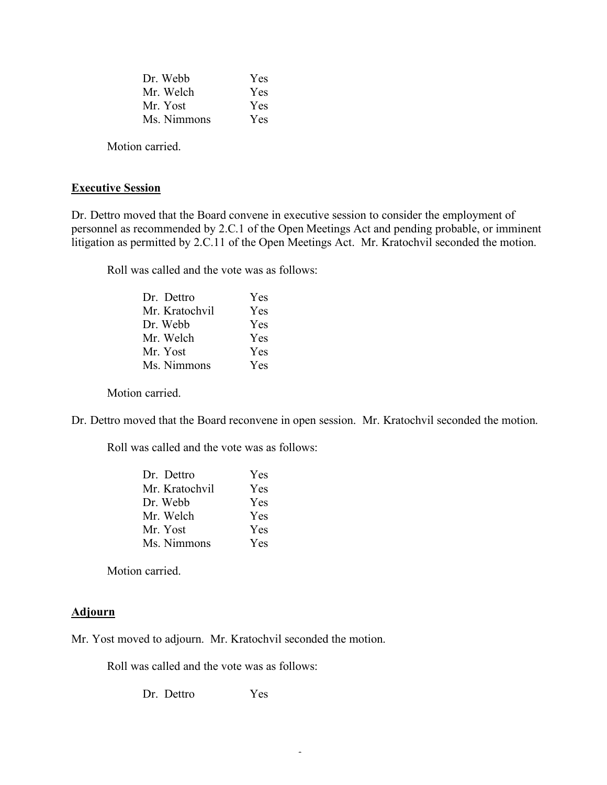| Dr. Webb    | Yes        |
|-------------|------------|
| Mr. Welch   | <b>Yes</b> |
| Mr. Yost    | <b>Yes</b> |
| Ms. Nimmons | Yes        |

Motion carried.

# **Executive Session**

Dr. Dettro moved that the Board convene in executive session to consider the employment of personnel as recommended by 2.C.1 of the Open Meetings Act and pending probable, or imminent litigation as permitted by 2.C.11 of the Open Meetings Act. Mr. Kratochvil seconded the motion.

Roll was called and the vote was as follows:

| Dr Dettro      | Yes |
|----------------|-----|
| Mr. Kratochvil | Yes |
| Dr. Webb       | Yes |
| Mr. Welch      | Yes |
| Mr. Yost       | Yes |
| Ms. Nimmons    | Yes |

Motion carried.

Dr. Dettro moved that the Board reconvene in open session. Mr. Kratochvil seconded the motion.

Roll was called and the vote was as follows:

| Dr Dettro      | Yes |
|----------------|-----|
| Mr. Kratochvil | Yes |
| Dr. Webb       | Yes |
| Mr. Welch      | Yes |
| Mr. Yost       | Yes |
| Ms. Nimmons    | Yes |

Motion carried.

#### **Adjourn**

Mr. Yost moved to adjourn. Mr. Kratochvil seconded the motion.

Roll was called and the vote was as follows:

Dr. Dettro Yes